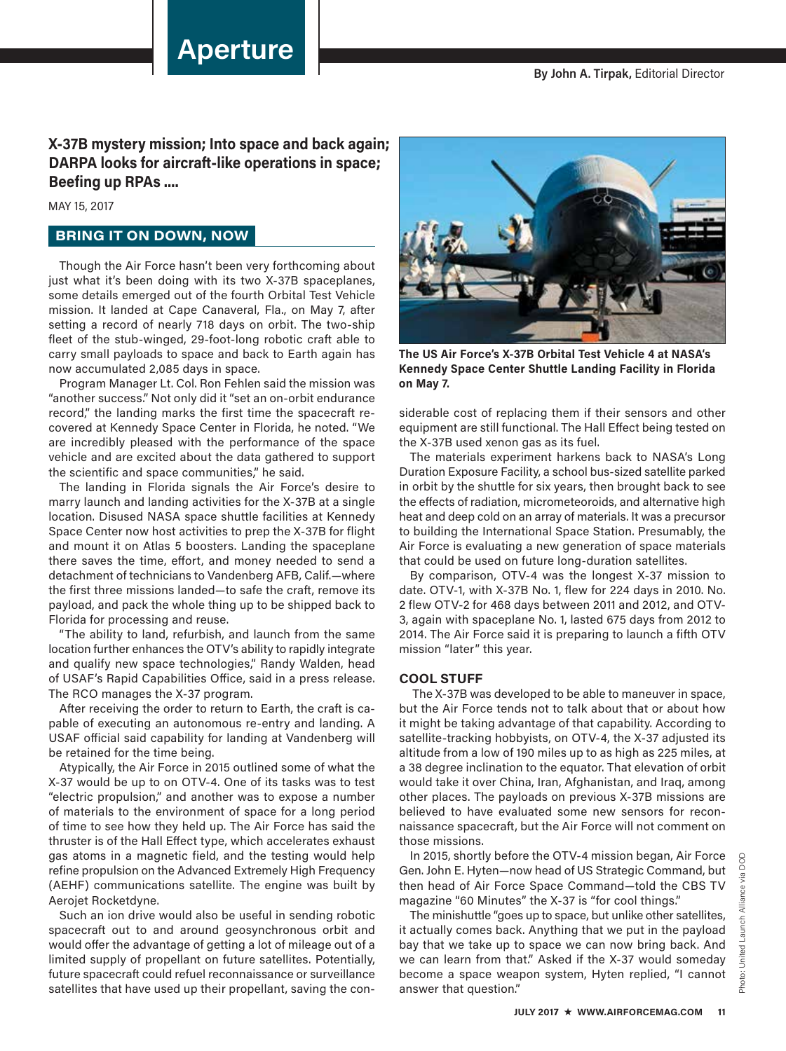# **Aperture**

## **X-37B mystery mission; Into space and back again; DARPA looks for aircraft-like operations in space; Beefing up RPAs ....**

MAY 15, 2017

### **BRING IT ON DOWN, NOW**

Though the Air Force hasn't been very forthcoming about just what it's been doing with its two X-37B spaceplanes, some details emerged out of the fourth Orbital Test Vehicle mission. It landed at Cape Canaveral, Fla., on May 7, after setting a record of nearly 718 days on orbit. The two-ship fleet of the stub-winged, 29-foot-long robotic craft able to carry small payloads to space and back to Earth again has now accumulated 2,085 days in space.

Program Manager Lt. Col. Ron Fehlen said the mission was "another success." Not only did it "set an on-orbit endurance record," the landing marks the first time the spacecraft recovered at Kennedy Space Center in Florida, he noted. "We are incredibly pleased with the performance of the space vehicle and are excited about the data gathered to support the scientific and space communities," he said.

The landing in Florida signals the Air Force's desire to marry launch and landing activities for the X-37B at a single location. Disused NASA space shuttle facilities at Kennedy Space Center now host activities to prep the X-37B for flight and mount it on Atlas 5 boosters. Landing the spaceplane there saves the time, effort, and money needed to send a detachment of technicians to Vandenberg AFB, Calif.—where the first three missions landed—to safe the craft, remove its payload, and pack the whole thing up to be shipped back to Florida for processing and reuse.

"The ability to land, refurbish, and launch from the same location further enhances the OTV's ability to rapidly integrate and qualify new space technologies," Randy Walden, head of USAF's Rapid Capabilities Office, said in a press release. The RCO manages the X-37 program.

After receiving the order to return to Earth, the craft is capable of executing an autonomous re-entry and landing. A USAF official said capability for landing at Vandenberg will be retained for the time being.

Atypically, the Air Force in 2015 outlined some of what the X-37 would be up to on OTV-4. One of its tasks was to test "electric propulsion," and another was to expose a number of materials to the environment of space for a long period of time to see how they held up. The Air Force has said the thruster is of the Hall Effect type, which accelerates exhaust gas atoms in a magnetic field, and the testing would help refine propulsion on the Advanced Extremely High Frequency (AEHF) communications satellite. The engine was built by Aerojet Rocketdyne.

Such an ion drive would also be useful in sending robotic spacecraft out to and around geosynchronous orbit and would offer the advantage of getting a lot of mileage out of a limited supply of propellant on future satellites. Potentially, future spacecraft could refuel reconnaissance or surveillance satellites that have used up their propellant, saving the con-



**The US Air Force's X-37B Orbital Test Vehicle 4 at NASA's Kennedy Space Center Shuttle Landing Facility in Florida on May 7.** 

siderable cost of replacing them if their sensors and other equipment are still functional. The Hall Effect being tested on the X-37B used xenon gas as its fuel.

The materials experiment harkens back to NASA's Long Duration Exposure Facility, a school bus-sized satellite parked in orbit by the shuttle for six years, then brought back to see the effects of radiation, micrometeoroids, and alternative high heat and deep cold on an array of materials. It was a precursor to building the International Space Station. Presumably, the Air Force is evaluating a new generation of space materials that could be used on future long-duration satellites.

By comparison, OTV-4 was the longest X-37 mission to date. OTV-1, with X-37B No. 1, flew for 224 days in 2010. No. 2 flew OTV-2 for 468 days between 2011 and 2012, and OTV-3, again with spaceplane No. 1, lasted 675 days from 2012 to 2014. The Air Force said it is preparing to launch a fifth OTV mission "later" this year.

#### **COOL STUFF**

 The X-37B was developed to be able to maneuver in space, but the Air Force tends not to talk about that or about how it might be taking advantage of that capability. According to satellite-tracking hobbyists, on OTV-4, the X-37 adjusted its altitude from a low of 190 miles up to as high as 225 miles, at a 38 degree inclination to the equator. That elevation of orbit would take it over China, Iran, Afghanistan, and Iraq, among other places. The payloads on previous X-37B missions are believed to have evaluated some new sensors for reconnaissance spacecraft, but the Air Force will not comment on those missions.

In 2015, shortly before the OTV-4 mission began, Air Force Gen. John E. Hyten—now head of US Strategic Command, but then head of Air Force Space Command—told the CBS TV magazine "60 Minutes" the X-37 is "for cool things."

The minishuttle "goes up to space, but unlike other satellites, it actually comes back. Anything that we put in the payload bay that we take up to space we can now bring back. And we can learn from that." Asked if the X-37 would someday become a space weapon system, Hyten replied, "I cannot answer that question."